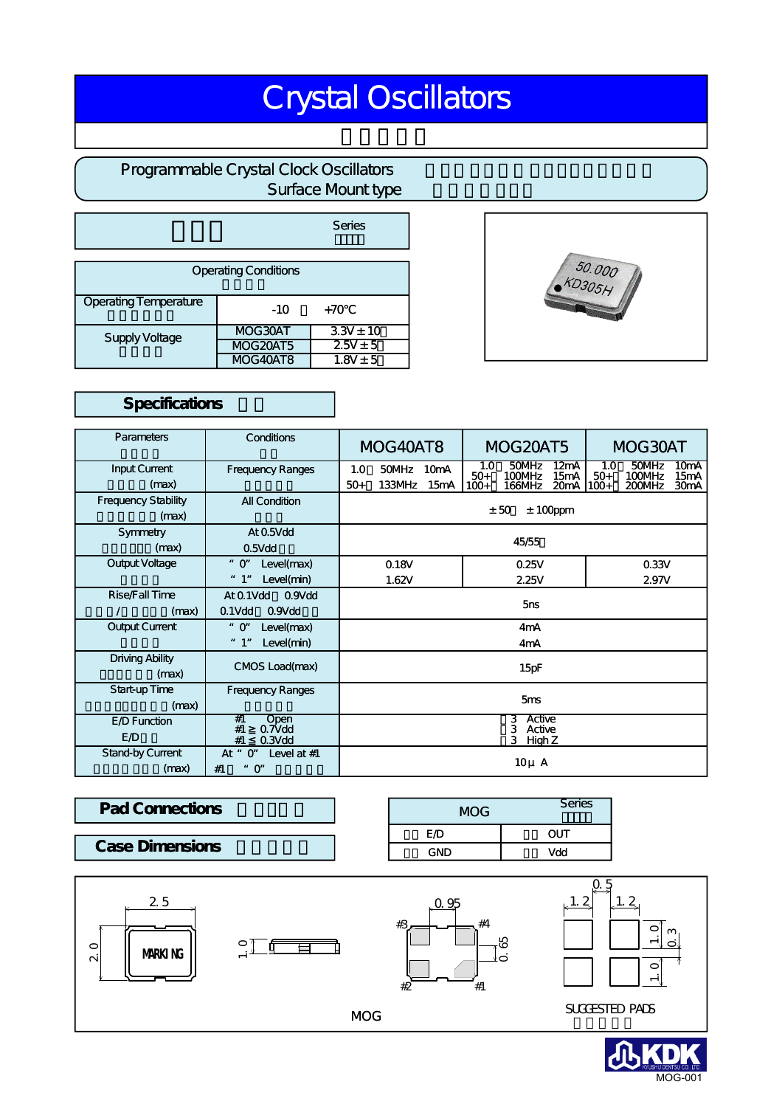## Crystal Oscillators

#### Programmable Crystal Clock Oscillators Surface Mount type

|                              |                  | Series        |  |  |  |  |  |
|------------------------------|------------------|---------------|--|--|--|--|--|
| <b>Operating Conditions</b>  |                  |               |  |  |  |  |  |
| <b>Operating Temperature</b> | $-10$            | $+70$         |  |  |  |  |  |
| Supply Voltage               | MOG30AT          | $3.3V \pm 10$ |  |  |  |  |  |
|                              | <b>MOG 20AT5</b> | $2.5V \pm 5$  |  |  |  |  |  |
|                              | <b>MOG40AT8</b>  | $1.8V \pm 5$  |  |  |  |  |  |

# 50.000 **KD305H**

#### Specifications

| Parameters                          | Conditions                                                         | MOG40AT8                               |                 | <b>MOG 20AT5</b> |                        | MOG 30AT                  |                                   |                        |                           |                                                |
|-------------------------------------|--------------------------------------------------------------------|----------------------------------------|-----------------|------------------|------------------------|---------------------------|-----------------------------------|------------------------|---------------------------|------------------------------------------------|
| Input Current<br>(max)              | <b>Frequency Ranges</b>                                            | 1.0<br>$50+$                           | 50MHz<br>133MHz | 10mA<br>15mA     | 1.0<br>$50+$<br>$100+$ | 50MHz<br>100MHz<br>166MHz | 12mA<br>15mA<br>20 <sub>m</sub> A | 1.0<br>$50+$<br>$100+$ | 50MHz<br>100MHz<br>200MHz | 10 <sub>m</sub> A<br>15mA<br>30 <sub>m</sub> A |
| <b>Frequency Stability</b><br>(max) | All Condition                                                      | ± 50<br>$± 100$ ppm                    |                 |                  |                        |                           |                                   |                        |                           |                                                |
| Symmetry<br>(max)                   | At 0.5Vdd<br>$0.5V$ dd                                             | 45/55                                  |                 |                  |                        |                           |                                   |                        |                           |                                                |
| Output Voltage                      | Level(max)<br>$"$ O"<br>" 1"<br>Level(min)                         | 0.18V<br>1.62V                         |                 |                  | 0.25V<br>2.25V         |                           | 0.33V<br>2.97V                    |                        |                           |                                                |
| Rise/Fall Time<br>(max)             | 0.9V <sub>dd</sub><br>At 0.1Vdd<br>$0.1$ Vdd<br>0.9V <sub>dd</sub> | 5ns                                    |                 |                  |                        |                           |                                   |                        |                           |                                                |
| <b>Output Current</b>               | $"$ O"<br>Level(max)<br>" 1"<br>Level(min)                         | 4mA<br>4mA                             |                 |                  |                        |                           |                                   |                        |                           |                                                |
| <b>Driving Ability</b><br>(max)     | CMOS Load(max)                                                     | 15pF                                   |                 |                  |                        |                           |                                   |                        |                           |                                                |
| Start-up Time<br>(max)              | <b>Frequency Ranges</b>                                            | 5 <sub>ms</sub>                        |                 |                  |                        |                           |                                   |                        |                           |                                                |
| E D Function<br><b>E</b> D          | #1<br>Open<br>$0.7V$ dd<br>#1<br>#1<br>$0.3V$ dd                   | 3 Active<br>Active<br>3<br>3<br>High Z |                 |                  |                        |                           |                                   |                        |                           |                                                |
| Stand-by Current<br>(max)           | $O^{\prime}$<br>Level at $#1$<br>At "<br>#1<br>$\mathbf{O}^r$      | $10\mu$ A                              |                 |                  |                        |                           |                                   |                        |                           |                                                |

| <b>Pad Connections</b> | MOG | <b>Series</b> |
|------------------------|-----|---------------|
|                        | ΕЮ  | דטכ           |
| <b>Case Dimensions</b> | GND | Vdd           |